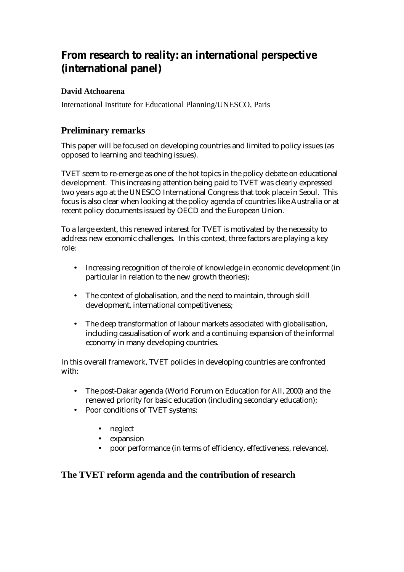# **From research to reality: an international perspective (international panel)**

### **David Atchoarena**

International Institute for Educational Planning/UNESCO, Paris

## **Preliminary remarks**

This paper will be focused on developing countries and limited to policy issues (as opposed to learning and teaching issues).

TVET seem to re-emerge as one of the hot topics in the policy debate on educational development. This increasing attention being paid to TVET was clearly expressed two years ago at the UNESCO International Congress that took place in Seoul. This focus is also clear when looking at the policy agenda of countries like Australia or at recent policy documents issued by OECD and the European Union.

To a large extent, this renewed interest for TVET is motivated by the necessity to address new economic challenges. In this context, three factors are playing a key role:

- Increasing recognition of the role of knowledge in economic development (in particular in relation to the new growth theories);
- The context of globalisation, and the need to maintain, through skill development, international competitiveness;
- The deep transformation of labour markets associated with globalisation, including casualisation of work and a continuing expansion of the informal economy in many developing countries.

In this overall framework, TVET policies in developing countries are confronted with:

- The post-Dakar agenda (World Forum on Education for All, 2000) and the renewed priority for basic education (including secondary education);
- Poor conditions of TVET systems:
	- neglect
	- expansion
	- poor performance (in terms of efficiency, effectiveness, relevance).

## **The TVET reform agenda and the contribution of research**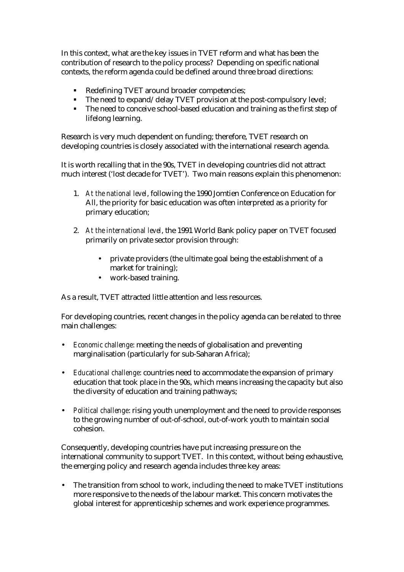In this context, what are the key issues in TVET reform and what has been the contribution of research to the policy process? Depending on specific national contexts, the reform agenda could be defined around three broad directions:

- ! Redefining TVET around broader competencies;
- The need to expand/delay TVET provision at the post-compulsory level;
- ! The need to conceive school-based education and training as the first step of lifelong learning.

Research is very much dependent on funding; therefore, TVET research on developing countries is closely associated with the international research agenda.

It is worth recalling that in the 90s, TVET in developing countries did not attract much interest ('lost decade for TVET'). Two main reasons explain this phenomenon:

- 1. *At the national level*, following the 1990 Jomtien Conference on Education for All, the priority for basic education was often interpreted as a priority for primary education;
- 2. *At the international level*, the 1991 World Bank policy paper on TVET focused primarily on private sector provision through:
	- private providers (the ultimate goal being the establishment of a market for training);
	- work-based training.

As a result, TVET attracted little attention and less resources.

For developing countries, recent changes in the policy agenda can be related to three main challenges:

- *Economic challenge*: meeting the needs of globalisation and preventing marginalisation (particularly for sub-Saharan Africa);
- *Educational challenge*: countries need to accommodate the expansion of primary education that took place in the 90s, which means increasing the capacity but also the diversity of education and training pathways;
- *Political challenge*: rising youth unemployment and the need to provide responses to the growing number of out-of-school, out-of-work youth to maintain social cohesion.

Consequently, developing countries have put increasing pressure on the international community to support TVET. In this context, without being exhaustive, the emerging policy and research agenda includes three key areas:

• The transition from school to work, including the need to make TVET institutions more responsive to the needs of the labour market. This concern motivates the global interest for apprenticeship schemes and work experience programmes.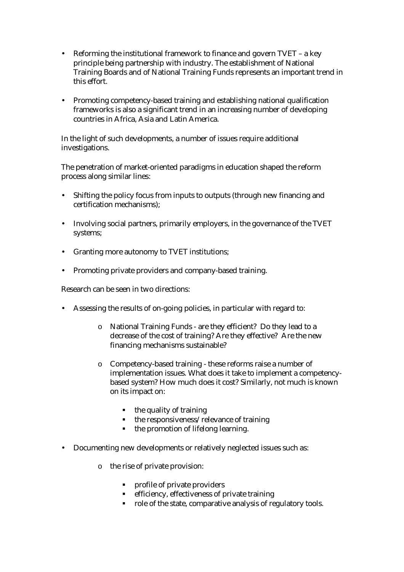- Reforming the institutional framework to finance and govern TVET a key principle being partnership with industry. The establishment of National Training Boards and of National Training Funds represents an important trend in this effort.
- Promoting competency-based training and establishing national qualification frameworks is also a significant trend in an increasing number of developing countries in Africa, Asia and Latin America.

In the light of such developments, a number of issues require additional investigations.

The penetration of market-oriented paradigms in education shaped the reform process along similar lines:

- Shifting the policy focus from inputs to outputs (through new financing and certification mechanisms);
- Involving social partners, primarily employers, in the governance of the TVET systems;
- Granting more autonomy to TVET institutions;
- Promoting private providers and company-based training.

Research can be seen in two directions:

- Assessing the results of on-going policies, in particular with regard to:
	- o National Training Funds are they efficient? Do they lead to a decrease of the cost of training? Are they effective? Are the new financing mechanisms sustainable?
	- o Competency-based training these reforms raise a number of implementation issues. What does it take to implement a competencybased system? How much does it cost? Similarly, not much is known on its impact on:
		- the quality of training
		- the responsiveness/relevance of training
		- ! the promotion of lifelong learning.
- Documenting new developments or relatively neglected issues such as:
	- o the rise of private provision:
		- ! profile of private providers
		- ! efficiency, effectiveness of private training
		- role of the state, comparative analysis of regulatory tools.